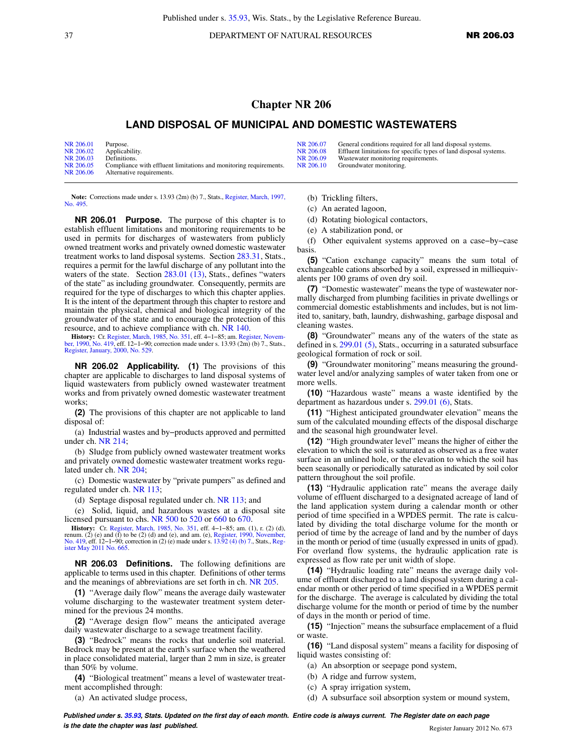37 DEPARTMENT OF NATURAL RESOURCES **NR 206.03** 

## **Chapter NR 206**

## **LAND DISPOSAL OF MUNICIPAL AND DOMESTIC WASTEWATERS**

| NR 206.01 | Purpose.                                                          |
|-----------|-------------------------------------------------------------------|
| NR 206.02 | Applicability.                                                    |
| NR 206.03 | Definitions.                                                      |
| NR 206.05 | Compliance with effluent limitations and monitoring requirements. |
| NR 206.06 | Alternative requirements.                                         |

**Note:** Corrections made under s. 13.93 (2m) (b) 7., Stats., [Register, March, 1997,](https://docs.legis.wisconsin.gov/document/register/495/B/toc) [No. 495](https://docs.legis.wisconsin.gov/document/register/495/B/toc).

**NR 206.01 Purpose.** The purpose of this chapter is to establish effluent limitations and monitoring requirements to be used in permits for discharges of wastewaters from publicly owned treatment works and privately owned domestic wastewater treatment works to land disposal systems. Section [283.31,](https://docs.legis.wisconsin.gov/document/statutes/283.31) Stats., requires a permit for the lawful discharge of any pollutant into the waters of the state. Section [283.01 \(13\),](https://docs.legis.wisconsin.gov/document/statutes/283.01(13)) Stats., defines "waters of the state" as including groundwater. Consequently, permits are required for the type of discharges to which this chapter applies. It is the intent of the department through this chapter to restore and maintain the physical, chemical and biological integrity of the groundwater of the state and to encourage the protection of this resource, and to achieve compliance with ch. [NR 140](https://docs.legis.wisconsin.gov/document/administrativecode/ch.%20NR%20140).

**History:** Cr. [Register, March, 1985, No. 351](https://docs.legis.wisconsin.gov/document/register/351/B/toc), eff. 4−1−85; am. [Register, Novem-](https://docs.legis.wisconsin.gov/document/register/419/B/toc)[ber, 1990, No. 419](https://docs.legis.wisconsin.gov/document/register/419/B/toc), eff. 12−1−90; correction made under s. 13.93 (2m) (b) 7., Stats., [Register, January, 2000, No. 529](https://docs.legis.wisconsin.gov/document/register/529/B/toc).

**NR 206.02 Applicability. (1)** The provisions of this chapter are applicable to discharges to land disposal systems of liquid wastewaters from publicly owned wastewater treatment works and from privately owned domestic wastewater treatment works;

**(2)** The provisions of this chapter are not applicable to land disposal of:

(a) Industrial wastes and by−products approved and permitted under ch. [NR 214](https://docs.legis.wisconsin.gov/document/administrativecode/ch.%20NR%20214);

(b) Sludge from publicly owned wastewater treatment works and privately owned domestic wastewater treatment works regulated under ch. [NR 204;](https://docs.legis.wisconsin.gov/document/administrativecode/ch.%20NR%20204)

(c) Domestic wastewater by "private pumpers" as defined and regulated under ch. [NR 113;](https://docs.legis.wisconsin.gov/document/administrativecode/ch.%20NR%20113)

(d) Septage disposal regulated under ch. [NR 113](https://docs.legis.wisconsin.gov/document/administrativecode/ch.%20NR%20113); and

(e) Solid, liquid, and hazardous wastes at a disposal site licensed pursuant to chs. [NR 500](https://docs.legis.wisconsin.gov/document/administrativecode/ch.%20NR%20500) to [520](https://docs.legis.wisconsin.gov/document/administrativecode/ch.%20NR%20520) or [660](https://docs.legis.wisconsin.gov/document/administrativecode/ch.%20NR%20660) to [670](https://docs.legis.wisconsin.gov/document/administrativecode/ch.%20NR%20670).

**History:** Cr. [Register, March, 1985, No. 351,](https://docs.legis.wisconsin.gov/document/register/351/B/toc) eff. 4–1–85; am. (1), r. (2) (d), No. 419, Prenum. (2) (e) and (f) to be (2) (d) and (e), and am. (e), [Register, 1990, November,](https://docs.legis.wisconsin.gov/document/register/419/B/toc) 1990, [No. 419,](https://docs.legis.wisconsin.gov/document/register/419/B/toc) eff. 12–1–90; correction in (2 [ister May 2011 No. 665](https://docs.legis.wisconsin.gov/document/register/665/B/toc).

**NR 206.03 Definitions.** The following definitions are applicable to terms used in this chapter. Definitions of other terms and the meanings of abbreviations are set forth in ch. [NR 205](https://docs.legis.wisconsin.gov/document/administrativecode/ch.%20NR%20205).

**(1)** "Average daily flow" means the average daily wastewater volume discharging to the wastewater treatment system determined for the previous 24 months.

**(2)** "Average design flow" means the anticipated average daily wastewater discharge to a sewage treatment facility.

**(3)** "Bedrock" means the rocks that underlie soil material. Bedrock may be present at the earth's surface when the weathered in place consolidated material, larger than 2 mm in size, is greater than 50% by volume.

**(4)** "Biological treatment" means a level of wastewater treatment accomplished through:

(a) An activated sludge process,

(b) Trickling filters,

(c) An aerated lagoon,

(d) Rotating biological contactors,

[NR 206.09](https://docs.legis.wisconsin.gov/document/administrativecode/NR%20206.09) Wastewater monitoring requirements.<br>NR 206.10 Groundwater monitoring. Groundwater monitoring.

(e) A stabilization pond, or

(f) Other equivalent systems approved on a case−by−case basis.

[NR 206.07](https://docs.legis.wisconsin.gov/document/administrativecode/NR%20206.07) General conditions required for all land disposal systems.<br>NR 206.08 Effluent limitations for specific types of land disposal sys [NR 206.08](https://docs.legis.wisconsin.gov/document/administrativecode/NR%20206.08) Effluent limitations for specific types of land disposal systems.<br>NR 206.09 Wastewater monitoring requirements.

**(5)** "Cation exchange capacity" means the sum total of exchangeable cations absorbed by a soil, expressed in milliequivalents per 100 grams of oven dry soil.

**(7)** "Domestic wastewater" means the type of wastewater normally discharged from plumbing facilities in private dwellings or commercial domestic establishments and includes, but is not limited to, sanitary, bath, laundry, dishwashing, garbage disposal and cleaning wastes.

**(8)** "Groundwater" means any of the waters of the state as defined in s. [299.01 \(5\),](https://docs.legis.wisconsin.gov/document/statutes/299.01(5)) Stats., occurring in a saturated subsurface geological formation of rock or soil.

**(9)** "Groundwater monitoring" means measuring the groundwater level and/or analyzing samples of water taken from one or more wells.

**(10)** "Hazardous waste" means a waste identified by the department as hazardous under s. [299.01 \(6\),](https://docs.legis.wisconsin.gov/document/statutes/299.01(6)) Stats.

**(11)** "Highest anticipated groundwater elevation" means the sum of the calculated mounding effects of the disposal discharge and the seasonal high groundwater level.

**(12)** "High groundwater level" means the higher of either the elevation to which the soil is saturated as observed as a free water surface in an unlined hole, or the elevation to which the soil has been seasonally or periodically saturated as indicated by soil color pattern throughout the soil profile.

**(13)** "Hydraulic application rate" means the average daily volume of effluent discharged to a designated acreage of land of the land application system during a calendar month or other period of time specified in a WPDES permit. The rate is calculated by dividing the total discharge volume for the month or period of time by the acreage of land and by the number of days in the month or period of time (usually expressed in units of gpad). For overland flow systems, the hydraulic application rate is expressed as flow rate per unit width of slope.

**(14)** "Hydraulic loading rate" means the average daily volume of effluent discharged to a land disposal system during a calendar month or other period of time specified in a WPDES permit for the discharge. The average is calculated by dividing the total discharge volume for the month or period of time by the number of days in the month or period of time.

**(15)** "Injection" means the subsurface emplacement of a fluid or waste.

**(16)** "Land disposal system" means a facility for disposing of liquid wastes consisting of:

(a) An absorption or seepage pond system,

- (b) A ridge and furrow system,
- (c) A spray irrigation system,

(d) A subsurface soil absorption system or mound system,

**Published under s. [35.93,](https://docs.legis.wisconsin.gov/document/statutes/35.93) Stats. Updated on the first day of each month. Entire code is always current. The Register date on each page is the date the chapter was last published. is the date the chapter was last published.** Register January 2012 No. 673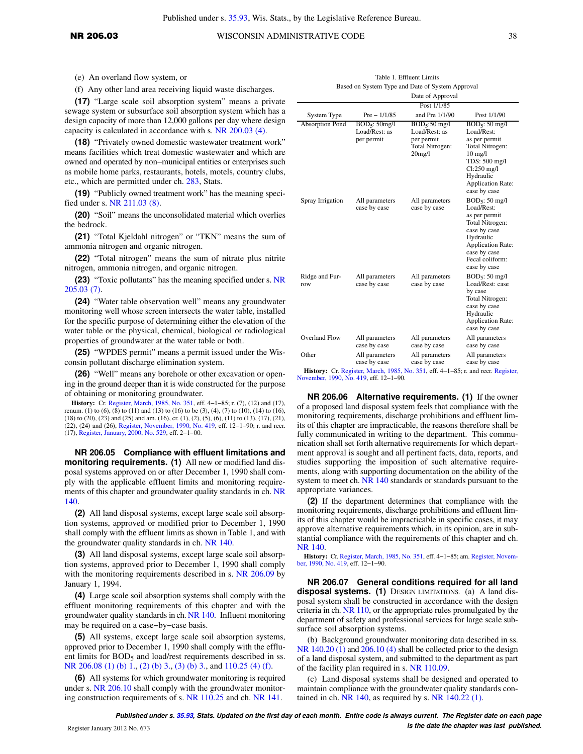(e) An overland flow system, or

(f) Any other land area receiving liquid waste discharges.

**(17)** "Large scale soil absorption system" means a private sewage system or subsurface soil absorption system which has a design capacity of more than 12,000 gallons per day where design capacity is calculated in accordance with s. [NR 200.03 \(4\).](https://docs.legis.wisconsin.gov/document/administrativecode/NR%20200.03(4))

**(18)** "Privately owned domestic wastewater treatment work" means facilities which treat domestic wastewater and which are owned and operated by non−municipal entities or enterprises such as mobile home parks, restaurants, hotels, motels, country clubs, etc., which are permitted under ch. [283](https://docs.legis.wisconsin.gov/document/statutes/ch.%20283), Stats.

**(19)** "Publicly owned treatment work" has the meaning specified under s. [NR 211.03 \(8\)](https://docs.legis.wisconsin.gov/document/administrativecode/NR%20211.03(8)).

**(20)** "Soil" means the unconsolidated material which overlies the bedrock.

**(21)** "Total Kjeldahl nitrogen" or "TKN" means the sum of ammonia nitrogen and organic nitrogen.

**(22)** "Total nitrogen" means the sum of nitrate plus nitrite nitrogen, ammonia nitrogen, and organic nitrogen.

**(23)** "Toxic pollutants" has the meaning specified under s. [NR](https://docs.legis.wisconsin.gov/document/administrativecode/NR%20205.03(7)) [205.03 \(7\).](https://docs.legis.wisconsin.gov/document/administrativecode/NR%20205.03(7))

**(24)** "Water table observation well" means any groundwater monitoring well whose screen intersects the water table, installed for the specific purpose of determining either the elevation of the water table or the physical, chemical, biological or radiological properties of groundwater at the water table or both.

**(25)** "WPDES permit" means a permit issued under the Wisconsin pollutant discharge elimination system.

**(26)** "Well" means any borehole or other excavation or opening in the ground deeper than it is wide constructed for the purpose of obtaining or monitoring groundwater.

**History:** Cr. [Register, March, 1985, No. 351](https://docs.legis.wisconsin.gov/document/register/351/B/toc), eff. 4−1−85; r. (7), (12) and (17), renum. (1) to (6), (8) to (11) and (13) to (16) to be (3), (4), (7) to (10), (14) to (16), (18) to (20), (23) and (25) and am. (16), cr. (1), (2), (5), (6), (11) to (13), (17), (21), (22), (24) and (26), [Register, November, 1990, No. 419,](https://docs.legis.wisconsin.gov/document/register/419/B/toc) eff. 12−1−90; r. and recr. (17), [Register, January, 2000, No. 529,](https://docs.legis.wisconsin.gov/document/register/529/B/toc) eff. 2−1−00.

**NR 206.05 Compliance with effluent limitations and monitoring requirements. (1)** All new or modified land disposal systems approved on or after December 1, 1990 shall comply with the applicable effluent limits and monitoring requirements of this chapter and groundwater quality standards in ch. [NR](https://docs.legis.wisconsin.gov/document/administrativecode/ch.%20NR%20140) [140](https://docs.legis.wisconsin.gov/document/administrativecode/ch.%20NR%20140).

**(2)** All land disposal systems, except large scale soil absorption systems, approved or modified prior to December 1, 1990 shall comply with the effluent limits as shown in Table 1, and with the groundwater quality standards in ch. [NR 140.](https://docs.legis.wisconsin.gov/document/administrativecode/ch.%20NR%20140)

**(3)** All land disposal systems, except large scale soil absorption systems, approved prior to December 1, 1990 shall comply with the monitoring requirements described in s. [NR 206.09](https://docs.legis.wisconsin.gov/document/administrativecode/NR%20206.09) by January 1, 1994.

**(4)** Large scale soil absorption systems shall comply with the effluent monitoring requirements of this chapter and with the groundwater quality standards in ch. [NR 140.](https://docs.legis.wisconsin.gov/document/administrativecode/ch.%20NR%20140) Influent monitoring may be required on a case−by−case basis.

**(5)** All systems, except large scale soil absorption systems, approved prior to December 1, 1990 shall comply with the effluent limits for BOD<sub>5</sub> and load/rest requirements described in ss. [NR 206.08 \(1\) \(b\) 1.](https://docs.legis.wisconsin.gov/document/administrativecode/NR%20206.08(1)(b)1.), [\(2\) \(b\) 3.](https://docs.legis.wisconsin.gov/document/administrativecode/NR%20206.08(2)(b)3.), [\(3\) \(b\) 3.](https://docs.legis.wisconsin.gov/document/administrativecode/NR%20206.08(3)(b)3.), and [110.25 \(4\) \(f\).](https://docs.legis.wisconsin.gov/document/administrativecode/NR%20110.25(4)(f))

**(6)** All systems for which groundwater monitoring is required under s. [NR 206.10](https://docs.legis.wisconsin.gov/document/administrativecode/NR%20206.10) shall comply with the groundwater monitoring construction requirements of s. [NR 110.25](https://docs.legis.wisconsin.gov/document/administrativecode/NR%20110.25) and ch. [NR 141](https://docs.legis.wisconsin.gov/document/administrativecode/ch.%20NR%20141).

|                        |                                                          | Date of Approval                                                           |                                                                                                                                                                                   |
|------------------------|----------------------------------------------------------|----------------------------------------------------------------------------|-----------------------------------------------------------------------------------------------------------------------------------------------------------------------------------|
|                        |                                                          | Post 1/1/85                                                                |                                                                                                                                                                                   |
| System Type            | $Pre - 1/1/85$                                           | and Pre 1/1/90                                                             | Post 1/1/90                                                                                                                                                                       |
| <b>Absorption Pond</b> | BOD <sub>5</sub> : 50mg/l<br>Load/Rest: as<br>per permit | $BOD5:50$ mg/l<br>Load/Rest: as<br>per permit<br>Total Nitrogen:<br>20mg/l | $BOD5: 50$ mg/l<br>Load/Rest:<br>as per permit<br>Total Nitrogen:<br>$10 \text{ mg/l}$<br>TDS: 500 mg/l<br>$Cl:250$ mg/l<br>Hydraulic<br><b>Application Rate:</b><br>case by case |
| Spray Irrigation       | All parameters<br>case by case                           | All parameters<br>case by case                                             | $BOD5: 50$ mg/l<br>Load/Rest:<br>as per permit<br>Total Nitrogen:<br>case by case<br>Hydraulic<br><b>Application Rate:</b><br>case by case<br>Fecal coliform:<br>case by case     |
| Ridge and Fur-<br>row  | All parameters<br>case by case                           | All parameters<br>case by case                                             | BOD <sub>5</sub> : 50 mg/l<br>Load/Rest: case<br>by case<br>Total Nitrogen:<br>case by case<br>Hydraulic<br><b>Application Rate:</b><br>case by case                              |
| Overland Flow          | All parameters<br>case by case                           | All parameters<br>case by case                                             | All parameters<br>case by case                                                                                                                                                    |
| Other                  | All parameters<br>case by case                           | All parameters<br>case by case                                             | All parameters<br>case by case                                                                                                                                                    |

Table 1. Effluent Limits Based on System Type and Date of System Approval

**History:** Cr. [Register, March, 1985, No. 351](https://docs.legis.wisconsin.gov/document/register/351/B/toc), eff. 4−1−85; r. and recr. [Register,](https://docs.legis.wisconsin.gov/document/register/419/B/toc) [November, 1990, No. 419](https://docs.legis.wisconsin.gov/document/register/419/B/toc), eff. 12−1−90.

**NR 206.06 Alternative requirements. (1)** If the owner of a proposed land disposal system feels that compliance with the monitoring requirements, discharge prohibitions and effluent limits of this chapter are impracticable, the reasons therefore shall be fully communicated in writing to the department. This communication shall set forth alternative requirements for which department approval is sought and all pertinent facts, data, reports, and studies supporting the imposition of such alternative requirements, along with supporting documentation on the ability of the system to meet ch. [NR 140](https://docs.legis.wisconsin.gov/document/administrativecode/ch.%20NR%20140) standards or standards pursuant to the appropriate variances.

**(2)** If the department determines that compliance with the monitoring requirements, discharge prohibitions and effluent limits of this chapter would be impracticable in specific cases, it may approve alternative requirements which, in its opinion, are in substantial compliance with the requirements of this chapter and ch. [NR 140](https://docs.legis.wisconsin.gov/document/administrativecode/ch.%20NR%20140).

**History:** Cr. [Register, March, 1985, No. 351,](https://docs.legis.wisconsin.gov/document/register/351/B/toc) eff. 4−1−85; am. [Register, Novem-](https://docs.legis.wisconsin.gov/document/register/419/B/toc)[ber, 1990, No. 419](https://docs.legis.wisconsin.gov/document/register/419/B/toc), eff. 12−1−90.

**NR 206.07 General conditions required for all land disposal systems. (1)** DESIGN LIMITATIONS. (a) A land disposal system shall be constructed in accordance with the design criteria in ch. [NR 110,](https://docs.legis.wisconsin.gov/document/administrativecode/ch.%20NR%20110) or the appropriate rules promulgated by the department of safety and professional services for large scale subsurface soil absorption systems.

(b) Background groundwater monitoring data described in ss. NR  $140.20(1)$  and  $206.10(4)$  shall be collected prior to the design of a land disposal system, and submitted to the department as part of the facility plan required in s. [NR 110.09](https://docs.legis.wisconsin.gov/document/administrativecode/NR%20110.09).

(c) Land disposal systems shall be designed and operated to maintain compliance with the groundwater quality standards con-tained in ch. [NR 140](https://docs.legis.wisconsin.gov/document/administrativecode/ch.%20NR%20140), as required by s. NR  $140.22$  (1).

**Published under s. [35.93,](https://docs.legis.wisconsin.gov/document/statutes/35.93) Stats. Updated on the first day of each month. Entire code is always current. The Register date on each page is the date the chapter was last published.** Register January 2012 No. 673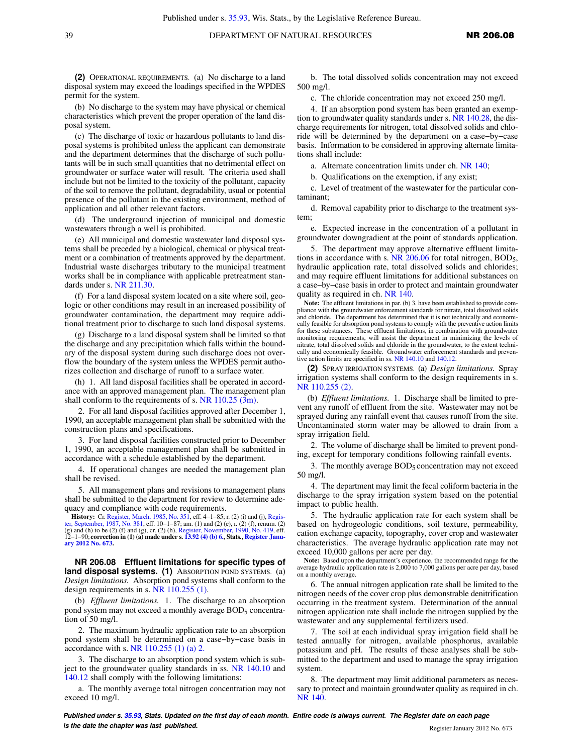**(2)** OPERATIONAL REQUIREMENTS. (a) No discharge to a land disposal system may exceed the loadings specified in the WPDES permit for the system.

(b) No discharge to the system may have physical or chemical characteristics which prevent the proper operation of the land disposal system.

(c) The discharge of toxic or hazardous pollutants to land disposal systems is prohibited unless the applicant can demonstrate and the department determines that the discharge of such pollutants will be in such small quantities that no detrimental effect on groundwater or surface water will result. The criteria used shall include but not be limited to the toxicity of the pollutant, capacity of the soil to remove the pollutant, degradability, usual or potential presence of the pollutant in the existing environment, method of application and all other relevant factors.

(d) The underground injection of municipal and domestic wastewaters through a well is prohibited.

(e) All municipal and domestic wastewater land disposal systems shall be preceded by a biological, chemical or physical treatment or a combination of treatments approved by the department. Industrial waste discharges tributary to the municipal treatment works shall be in compliance with applicable pretreatment standards under s. [NR 211.30.](https://docs.legis.wisconsin.gov/document/administrativecode/NR%20211.30)

(f) For a land disposal system located on a site where soil, geologic or other conditions may result in an increased possibility of groundwater contamination, the department may require additional treatment prior to discharge to such land disposal systems.

(g) Discharge to a land disposal system shall be limited so that the discharge and any precipitation which falls within the boundary of the disposal system during such discharge does not overflow the boundary of the system unless the WPDES permit authorizes collection and discharge of runoff to a surface water.

(h) 1. All land disposal facilities shall be operated in accordance with an approved management plan. The management plan shall conform to the requirements of s. [NR 110.25 \(3m\)](https://docs.legis.wisconsin.gov/document/administrativecode/NR%20110.25(3m)).

2. For all land disposal facilities approved after December 1, 1990, an acceptable management plan shall be submitted with the construction plans and specifications.

3. For land disposal facilities constructed prior to December 1, 1990, an acceptable management plan shall be submitted in accordance with a schedule established by the department.

4. If operational changes are needed the management plan shall be revised.

5. All management plans and revisions to management plans shall be submitted to the department for review to determine adequacy and compliance with code requirements.

**History:** Cr. [Register, March, 1985, No. 351](https://docs.legis.wisconsin.gov/document/register/351/B/toc), eff. 4–1–85; r. (2) (i) and (j), Regis[ter, September, 1987, No. 381](https://docs.legis.wisconsin.gov/document/register/381/B/toc), eff. 10–1–87; am. (1) and (2) (e), r. (2) (f), renum. (2) (g) and (h) to be (2) (f), and (g) and (g), cr. **[ary 2012 No. 673](https://docs.legis.wisconsin.gov/document/register/673/B/toc).**

**NR 206.08 Effluent limitations for specific types of land disposal systems. (1)** ABSORPTION POND SYSTEMS. (a) *Design limitations.* Absorption pond systems shall conform to the design requirements in s. [NR 110.255 \(1\)](https://docs.legis.wisconsin.gov/document/administrativecode/NR%20110.255(1)).

(b) *Effluent limitations.* 1. The discharge to an absorption pond system may not exceed a monthly average  $BOD<sub>5</sub>$  concentration of 50 mg/l.

2. The maximum hydraulic application rate to an absorption pond system shall be determined on a case−by−case basis in accordance with s. [NR 110.255 \(1\) \(a\) 2.](https://docs.legis.wisconsin.gov/document/administrativecode/NR%20110.255(1)(a)2.)

3. The discharge to an absorption pond system which is subject to the groundwater quality standards in ss. [NR 140.10](https://docs.legis.wisconsin.gov/document/administrativecode/NR%20140.10) and [140.12](https://docs.legis.wisconsin.gov/document/administrativecode/NR%20140.12) shall comply with the following limitations:

a. The monthly average total nitrogen concentration may not exceed 10 mg/l.

b. The total dissolved solids concentration may not exceed 500 mg/l.

c. The chloride concentration may not exceed 250 mg/l.

4. If an absorption pond system has been granted an exemption to groundwater quality standards under s. [NR 140.28](https://docs.legis.wisconsin.gov/document/administrativecode/NR%20140.28), the discharge requirements for nitrogen, total dissolved solids and chloride will be determined by the department on a case−by−case basis. Information to be considered in approving alternate limitations shall include:

a. Alternate concentration limits under ch. [NR 140;](https://docs.legis.wisconsin.gov/document/administrativecode/ch.%20NR%20140)

b. Qualifications on the exemption, if any exist;

c. Level of treatment of the wastewater for the particular contaminant;

d. Removal capability prior to discharge to the treatment system;

e. Expected increase in the concentration of a pollutant in groundwater downgradient at the point of standards application.

5. The department may approve alternative effluent limitations in accordance with s.  $NR$  206.06 for total nitrogen, BOD<sub>5</sub>, hydraulic application rate, total dissolved solids and chlorides; and may require effluent limitations for additional substances on a case−by−case basis in order to protect and maintain groundwater quality as required in ch. [NR 140.](https://docs.legis.wisconsin.gov/document/administrativecode/ch.%20NR%20140)

Note: The effluent limitations in par. (b) 3. have been established to provide com-<br>pliance with the groundwater enforcement standards for nitrate, total dissolved solids and chloride. The department has determined that it is not technically and economically feasible for absorption pond systems to comply with the preventive action limits for these substances. These effluent limitations, in combination with groundwater monitoring requirements, will assist the department in minimizing the levels of nitrate, total dissolved solids and chloride in the groundwater, to the extent technically and economically feasible. Groundwater enforcement standards and preventive action limits are specified in ss. [NR 140.10](https://docs.legis.wisconsin.gov/document/administrativecode/NR%20140.10) and [140.12](https://docs.legis.wisconsin.gov/document/administrativecode/NR%20140.12).

**(2)** SPRAY IRRIGATION SYSTEMS. (a) *Design limitations.* Spray irrigation systems shall conform to the design requirements in s. [NR 110.255 \(2\).](https://docs.legis.wisconsin.gov/document/administrativecode/NR%20110.255(2))

(b) *Effluent limitations.* 1. Discharge shall be limited to prevent any runoff of effluent from the site. Wastewater may not be sprayed during any rainfall event that causes runoff from the site. Uncontaminated storm water may be allowed to drain from a spray irrigation field.

2. The volume of discharge shall be limited to prevent ponding, except for temporary conditions following rainfall events.

3. The monthly average  $BOD<sub>5</sub>$  concentration may not exceed 50 mg/l.

4. The department may limit the fecal coliform bacteria in the discharge to the spray irrigation system based on the potential impact to public health.

5. The hydraulic application rate for each system shall be based on hydrogeologic conditions, soil texture, permeability, cation exchange capacity, topography, cover crop and wastewater characteristics. The average hydraulic application rate may not exceed 10,000 gallons per acre per day.

**Note:** Based upon the department's experience, the recommended range for the average hydraulic application rate is 2,000 to 7,000 gallons per acre per day, based on a monthly average.

6. The annual nitrogen application rate shall be limited to the nitrogen needs of the cover crop plus demonstrable denitrification occurring in the treatment system. Determination of the annual nitrogen application rate shall include the nitrogen supplied by the wastewater and any supplemental fertilizers used.

7. The soil at each individual spray irrigation field shall be tested annually for nitrogen, available phosphorus, available potassium and pH. The results of these analyses shall be submitted to the department and used to manage the spray irrigation system.

8. The department may limit additional parameters as necessary to protect and maintain groundwater quality as required in ch. [NR 140](https://docs.legis.wisconsin.gov/document/administrativecode/ch.%20NR%20140).

**Published under s. [35.93,](https://docs.legis.wisconsin.gov/document/statutes/35.93) Stats. Updated on the first day of each month. Entire code is always current. The Register date on each page is the date the chapter was last published. Compared the chapter of the chapter of the date the chapter vasi and the chapter of the chapter of the chapter of the chapter of the chapter of the chapter of the chapter of t**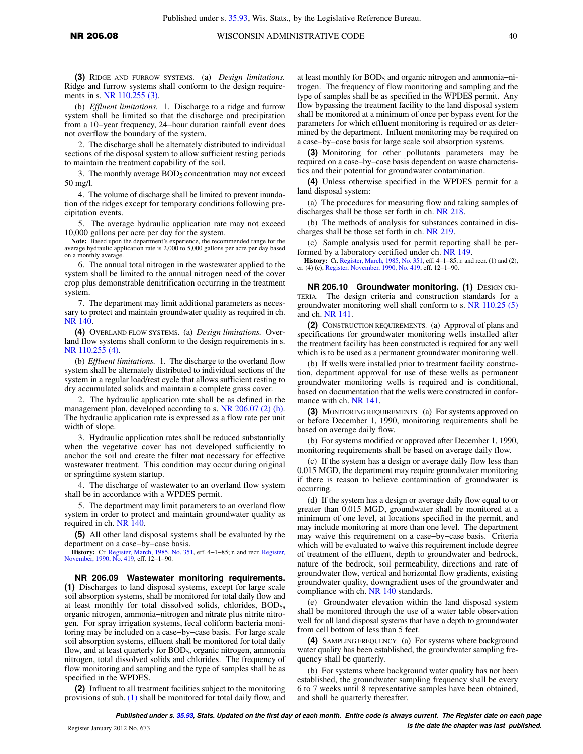## **NR 206.08** WISCONSIN ADMINISTRATIVE CODE 40

**(3)** RIDGE AND FURROW SYSTEMS. (a) *Design limitations.* Ridge and furrow systems shall conform to the design requirements in s. [NR 110.255 \(3\).](https://docs.legis.wisconsin.gov/document/administrativecode/NR%20110.255(3))

(b) *Effluent limitations.* 1. Discharge to a ridge and furrow system shall be limited so that the discharge and precipitation from a 10−year frequency, 24−hour duration rainfall event does not overflow the boundary of the system.

2. The discharge shall be alternately distributed to individual sections of the disposal system to allow sufficient resting periods to maintain the treatment capability of the soil.

3. The monthly average BOD<sub>5</sub> concentration may not exceed 50 mg/l.

4. The volume of discharge shall be limited to prevent inundation of the ridges except for temporary conditions following precipitation events.

5. The average hydraulic application rate may not exceed 10,000 gallons per acre per day for the system.

**Note:** Based upon the department's experience, the recommended range for the average hydraulic application rate is 2,000 to 5,000 gallons per acre per day based on a monthly average.

6. The annual total nitrogen in the wastewater applied to the system shall be limited to the annual nitrogen need of the cover crop plus demonstrable denitrification occurring in the treatment system.

7. The department may limit additional parameters as necessary to protect and maintain groundwater quality as required in ch. [NR 140](https://docs.legis.wisconsin.gov/document/administrativecode/ch.%20NR%20140).

**(4)** OVERLAND FLOW SYSTEMS. (a) *Design limitations.* Overland flow systems shall conform to the design requirements in s. [NR 110.255 \(4\)](https://docs.legis.wisconsin.gov/document/administrativecode/NR%20110.255(4)).

(b) *Effluent limitations.* 1. The discharge to the overland flow system shall be alternately distributed to individual sections of the system in a regular load/rest cycle that allows sufficient resting to dry accumulated solids and maintain a complete grass cover.

2. The hydraulic application rate shall be as defined in the management plan, developed according to s. [NR 206.07 \(2\) \(h\).](https://docs.legis.wisconsin.gov/document/administrativecode/NR%20206.07(2)(h)) The hydraulic application rate is expressed as a flow rate per unit width of slope.

3. Hydraulic application rates shall be reduced substantially when the vegetative cover has not developed sufficiently to anchor the soil and create the filter mat necessary for effective wastewater treatment. This condition may occur during original or springtime system startup.

4. The discharge of wastewater to an overland flow system shall be in accordance with a WPDES permit.

5. The department may limit parameters to an overland flow system in order to protect and maintain groundwater quality as required in ch. [NR 140.](https://docs.legis.wisconsin.gov/document/administrativecode/ch.%20NR%20140)

**(5)** All other land disposal systems shall be evaluated by the department on a case−by−case basis.

**History:** Cr. [Register, March, 1985, No. 351](https://docs.legis.wisconsin.gov/document/register/351/B/toc), eff. 4−1−85; r. and recr. [Register,](https://docs.legis.wisconsin.gov/document/register/419/B/toc) [November, 1990, No. 419,](https://docs.legis.wisconsin.gov/document/register/419/B/toc) eff. 12−1−90.

**NR 206.09 Wastewater monitoring requirements. (1)** Discharges to land disposal systems, except for large scale soil absorption systems, shall be monitored for total daily flow and at least monthly for total dissolved solids, chlorides, BOD5**,** organic nitrogen, ammonia−nitrogen and nitrate plus nitrite nitrogen. For spray irrigation systems, fecal coliform bacteria monitoring may be included on a case−by−case basis. For large scale soil absorption systems, effluent shall be monitored for total daily flow, and at least quarterly for BOD<sub>5</sub>, organic nitrogen, ammonia nitrogen, total dissolved solids and chlorides. The frequency of flow monitoring and sampling and the type of samples shall be as specified in the WPDES.

**(2)** Influent to all treatment facilities subject to the monitoring provisions of sub. [\(1\)](https://docs.legis.wisconsin.gov/document/administrativecode/NR%20206.09(1)) shall be monitored for total daily flow, and

at least monthly for BOD5 and organic nitrogen and ammonia−nitrogen. The frequency of flow monitoring and sampling and the type of samples shall be as specified in the WPDES permit. Any flow bypassing the treatment facility to the land disposal system shall be monitored at a minimum of once per bypass event for the parameters for which effluent monitoring is required or as determined by the department. Influent monitoring may be required on a case−by−case basis for large scale soil absorption systems.

**(3)** Monitoring for other pollutants parameters may be required on a case−by−case basis dependent on waste characteristics and their potential for groundwater contamination.

**(4)** Unless otherwise specified in the WPDES permit for a land disposal system:

(a) The procedures for measuring flow and taking samples of discharges shall be those set forth in ch. [NR 218.](https://docs.legis.wisconsin.gov/document/administrativecode/ch.%20NR%20218)

(b) The methods of analysis for substances contained in discharges shall be those set forth in ch. [NR 219](https://docs.legis.wisconsin.gov/document/administrativecode/ch.%20NR%20219).

(c) Sample analysis used for permit reporting shall be performed by a laboratory certified under ch. [NR 149](https://docs.legis.wisconsin.gov/document/administrativecode/ch.%20NR%20149).

**History:** Cr. [Register, March, 1985, No. 351](https://docs.legis.wisconsin.gov/document/register/351/B/toc), eff. 4–1–85; r. and recr. (1) and (2), cr. (4) (c), [Register, November, 1990, No. 419](https://docs.legis.wisconsin.gov/document/register/419/B/toc), eff. 12–1–90.

**NR 206.10 Groundwater monitoring. (1)** DESIGN CRI-The design criteria and construction standards for a groundwater monitoring well shall conform to s. [NR 110.25 \(5\)](https://docs.legis.wisconsin.gov/document/administrativecode/NR%20110.25(5)) and ch. [NR 141.](https://docs.legis.wisconsin.gov/document/administrativecode/ch.%20NR%20141)

**(2)** CONSTRUCTION REQUIREMENTS. (a) Approval of plans and specifications for groundwater monitoring wells installed after the treatment facility has been constructed is required for any well which is to be used as a permanent groundwater monitoring well.

(b) If wells were installed prior to treatment facility construction, department approval for use of these wells as permanent groundwater monitoring wells is required and is conditional, based on documentation that the wells were constructed in conformance with ch. [NR 141.](https://docs.legis.wisconsin.gov/document/administrativecode/ch.%20NR%20141)

**(3)** MONITORING REQUIREMENTS. (a) For systems approved on or before December 1, 1990, monitoring requirements shall be based on average daily flow.

(b) For systems modified or approved after December 1, 1990, monitoring requirements shall be based on average daily flow.

(c) If the system has a design or average daily flow less than 0.015 MGD, the department may require groundwater monitoring if there is reason to believe contamination of groundwater is occurring.

(d) If the system has a design or average daily flow equal to or greater than 0.015 MGD, groundwater shall be monitored at a minimum of one level, at locations specified in the permit, and may include monitoring at more than one level. The department may waive this requirement on a case−by−case basis. Criteria which will be evaluated to waive this requirement include degree of treatment of the effluent, depth to groundwater and bedrock, nature of the bedrock, soil permeability, directions and rate of groundwater flow, vertical and horizontal flow gradients, existing groundwater quality, downgradient uses of the groundwater and compliance with ch. [NR 140](https://docs.legis.wisconsin.gov/document/administrativecode/ch.%20NR%20140) standards.

(e) Groundwater elevation within the land disposal system shall be monitored through the use of a water table observation well for all land disposal systems that have a depth to groundwater from cell bottom of less than 5 feet.

**(4)** SAMPLING FREQUENCY. (a) For systems where background water quality has been established, the groundwater sampling frequency shall be quarterly.

(b) For systems where background water quality has not been established, the groundwater sampling frequency shall be every 6 to 7 weeks until 8 representative samples have been obtained, and shall be quarterly thereafter.